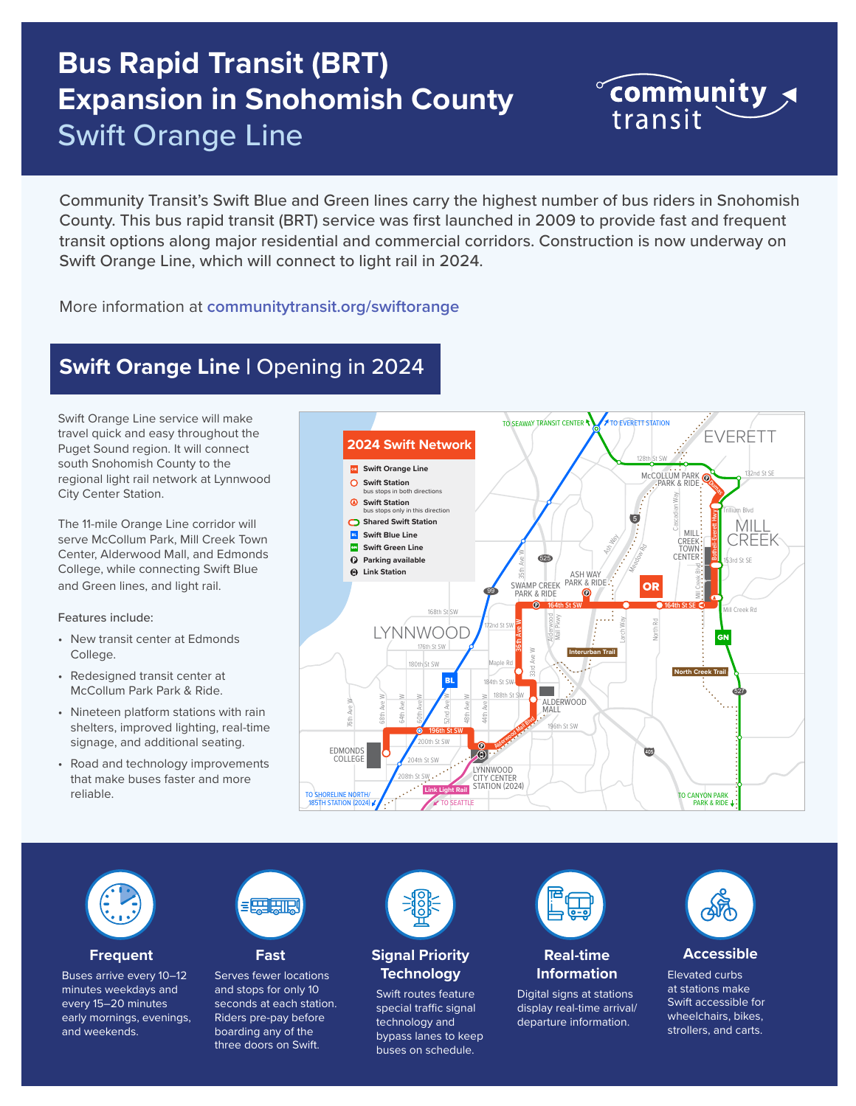# **Bus Rapid Transit (BRT) Expansion in Snohomish County** Swift Orange Line

Community Transit's Swift Blue and Green lines carry the highest number of bus riders in Snohomish County. This bus rapid transit (BRT) service was first launched in 2009 to provide fast and frequent transit options along major residential and commercial corridors. Construction is now underway on Swift Orange Line, which will connect to light rail in 2024.

# More information at **[communitytransit.org/swiftorange](http://communitytransit.org/swiftorange)**

# **Swift Orange Line | Opening in 2024**

Swift Orange Line service will make travel quick and easy throughout the Puget Sound region. It will connect south Snohomish County to the regional light rail network at Lynnwood City Center Station.

The 11-mile Orange Line corridor will serve McCollum Park, Mill Creek Town Center, Alderwood Mall, and Edmonds College, while connecting Swift Blue and Green lines, and light rail.

### Features include:

- New transit center at Edmonds College.
- Redesigned transit center at McCollum Park Park & Ride.
- Nineteen platform stations with rain shelters, improved lighting, real-time signage, and additional seating.
- Road and technology improvements that make buses faster and more reliable.





### **Frequent**

Buses arrive every 10–12 minutes weekdays and every 15–20 minutes early mornings, evenings, and weekends.



**Fast**

Serves fewer locations and stops for only 10 seconds at each station. Riders pre-pay before boarding any of the three doors on Swift.



## **Signal Priority Technology**

Swift routes feature special traffic signal technology and bypass lanes to keep buses on schedule.



## **Real-time Information**

Digital signs at stations display real-time arrival/ departure information.



 $\infty$  community

transit

**Accessible**

Elevated curbs at stations make Swift accessible for wheelchairs, bikes, strollers, and carts.